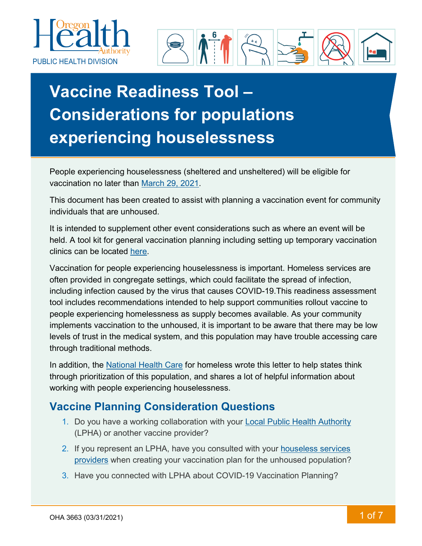



# **Vaccine Readiness Tool – Considerations for populations experiencing houselessness**

People experiencing houselessness (sheltered and unsheltered) will be eligible for vaccination no later than [March 29, 2021.](https://covidvaccine.oregon.gov/#prioritization)

This document has been created to assist with planning a vaccination event for community individuals that are unhoused.

It is intended to supplement other event considerations such as where an event will be held. A tool kit for general vaccination planning including setting up temporary vaccination clinics can be located [here.](https://www.oregon.gov/oha/PH/PREVENTIONWELLNESS/VACCINESIMMUNIZATION/IMMUNIZATIONPROVIDERRESOURCES/Pages/COVIDProvToolkit.aspx)

Vaccination for people experiencing houselessness is important. Homeless services are often provided in congregate settings, which could facilitate the spread of infection, including infection caused by the virus that causes COVID-19.This readiness assessment tool includes recommendations intended to help support communities rollout vaccine to people experiencing homelessness as supply becomes available. As your community implements vaccination to the unhoused, it is important to be aware that there may be low levels of trust in the medical system, and this population may have trouble accessing care through traditional methods.

In addition, the [National Health Care](https://nhchc.org/wp-content/uploads/2021/02/Letter-to-states-vaccine-priority-for-homeless-2.pdf) for homeless wrote this letter to help states think through prioritization of this population, and shares a lot of helpful information about working with people experiencing houselessness.

## **Vaccine Planning Consideration Questions**

- 1. Do you have a working collaboration with your [Local Public Health Authority](https://www.oregon.gov/oha/ph/providerpartnerresources/localhealthdepartmentresources/pages/lhd.aspx) (LPHA) or another vaccine provider?
- 2. If you represent an LPHA, have you consulted with your [houseless services](https://www.oregon.gov/ohcs/for-providers/Pages/continuum-of-care.aspx)  [providers](https://www.oregon.gov/ohcs/for-providers/Pages/continuum-of-care.aspx) when creating your vaccination plan for the unhoused population?
- 3. Have you connected with LPHA about COVID-19 Vaccination Planning?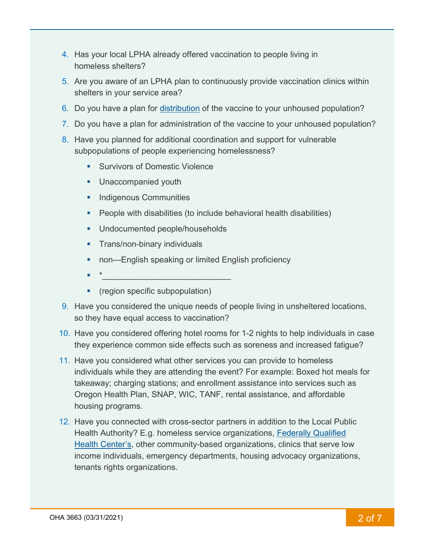- 4. Has your local LPHA already offered vaccination to people living in homeless shelters?
- 5. Are you aware of an LPHA plan to continuously provide vaccination clinics within shelters in your service area?
- 6. Do you have a plan for [distribution](https://www.hudexchange.info/resource/6229/covid19-homeless-system-response-vaccine-planning-and-distribution/) of the vaccine to your unhoused population?
- 7. Do you have a plan for administration of the vaccine to your unhoused population?
- 8. Have you planned for additional coordination and support for vulnerable subpopulations of people experiencing homelessness?
	- **Survivors of Domestic Violence**
	- **Unaccompanied youth**
	- **Indigenous Communities**
	- **People with disabilities (to include behavioral health disabilities)**
	- **Undocumented people/households**
	- **Trans/non-binary individuals**
	- **non—English speaking or limited English proficiency**
	- \*\_\_\_\_\_\_\_\_\_\_\_\_\_\_\_\_\_\_\_\_\_\_\_\_\_\_\_\_
	- **•** (region specific subpopulation)
- 9. Have you considered the unique needs of people living in unsheltered locations, so they have equal access to vaccination?
- 10. Have you considered offering hotel rooms for 1-2 nights to help individuals in case they experience common side effects such as soreness and increased fatigue?
- 11. Have you considered what other services you can provide to homeless individuals while they are attending the event? For example: Boxed hot meals for takeaway; charging stations; and enrollment assistance into services such as Oregon Health Plan, SNAP, WIC, TANF, rental assistance, and affordable housing programs.
- 12. Have you connected with cross-sector partners in addition to the Local Public Health Authority? E.g. homeless service organizations, [Federally Qualified](https://dhsoha-my.sharepoint.com/personal/rebecca_knight_dhsoha_state_or_us/Documents/CRRU/Houslessness/List%20of%20Rural%20and%20Homeless%20and%20Migrant%20clinics.pdf)  [Health Center's,](https://dhsoha-my.sharepoint.com/personal/rebecca_knight_dhsoha_state_or_us/Documents/CRRU/Houslessness/List%20of%20Rural%20and%20Homeless%20and%20Migrant%20clinics.pdf) other community-based organizations, clinics that serve low income individuals, emergency departments, housing advocacy organizations, tenants rights organizations.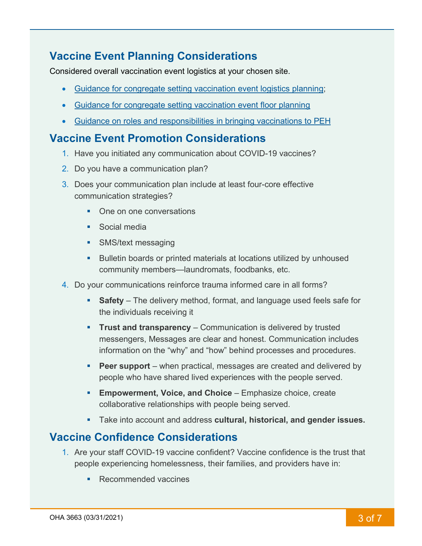# **Vaccine Event Planning Considerations**

Considered overall vaccination event logistics at your chosen site.

- [Guidance for congregate setting vaccination event logistics planning;](https://files.hudexchange.info/resources/documents/Vaccination-in-Congregate-Settings-Event-Types-and-Considerations.pdf)
- [Guidance for congregate setting vaccination event floor planning](https://files.hudexchange.info/resources/documents/Congregate-Setting-Vaccination-Event-Floor-Plan.pdf)
- [Guidance on roles and responsibilities in bringing vaccinations to PEH](https://files.hudexchange.info/resources/documents/Vaccine-Planning-and-Distribution-Roles-and-Responsibilities.pdf)

## **Vaccine Event Promotion Considerations**

- 1. Have you initiated any communication about COVID-19 vaccines?
- 2. Do you have a communication plan?
- 3. Does your communication plan include at least four-core effective communication strategies?
	- One on one conversations
	- **Social media**
	- **SMS/text messaging**
	- **Bulletin boards or printed materials at locations utilized by unhoused** community members—laundromats, foodbanks, etc.
- 4. Do your communications reinforce trauma informed care in all forms?
	- **Safety** The delivery method, format, and language used feels safe for the individuals receiving it
	- **Trust and transparency** Communication is delivered by trusted messengers, Messages are clear and honest. Communication includes information on the "why" and "how" behind processes and procedures.
	- **Peer support** when practical, messages are created and delivered by people who have shared lived experiences with the people served.
	- **Empowerment, Voice, and Choice** Emphasize choice, create collaborative relationships with people being served.
	- Take into account and address **cultural, historical, and gender issues.**

## **Vaccine Confidence Considerations**

- 1. Are your staff COVID-19 vaccine confident? Vaccine confidence is the trust that people experiencing homelessness, their families, and providers have in:
	- Recommended vaccines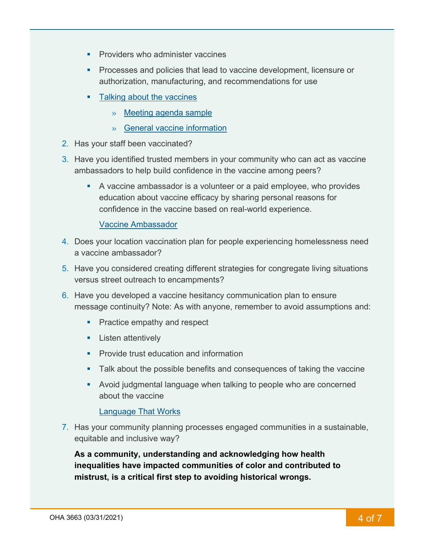- **Providers who administer vaccines**
- **Processes and policies that lead to vaccine development, licensure or** authorization, manufacturing, and recommendations for use
- [Talking about the vaccines](https://www.cdc.gov/vaccines/covid-19/hcp/engaging-patients.html)
	- » [Meeting agenda sample](https://files.hudexchange.info/resources/documents/Preparing-Staff-for-the-COVID-19-Vaccine-Meeting-Template.pdf)
	- » [General vaccine information](https://files.hudexchange.info/resources/documents/COVID-19-Vaccination-Conversation-Tips-for-Homeless-Service-Providers.pdf)
- 2. Has your staff been vaccinated?
- 3. Have you identified trusted members in your community who can act as vaccine ambassadors to help build confidence in the vaccine among peers?
	- A vaccine ambassador is a volunteer or a paid employee, who provides education about vaccine efficacy by sharing personal reasons for confidence in the vaccine based on real-world experience.

#### [Vaccine Ambassador](https://files.hudexchange.info/resources/documents/Vaccine-Ambassador-Program-and-Job-Description.pdf)

- 4. Does your location vaccination plan for people experiencing homelessness need a vaccine ambassador?
- 5. Have you considered creating different strategies for congregate living situations versus street outreach to encampments?
- 6. Have you developed a vaccine hesitancy communication plan to ensure message continuity? Note: As with anyone, remember to avoid assumptions and:
	- **Practice empathy and respect**
	- **Listen attentively**
	- **Provide trust education and information**
	- **Talk about the possible benefits and consequences of taking the vaccine**
	- Avoid judgmental language when talking to people who are concerned about the vaccine

#### [Language That Works](https://files.hudexchange.info/resources/documents/Language-that-Works-to-Improve-Vaccine-Acceptance.pdf)

7. Has your community planning processes engaged communities in a sustainable, equitable and inclusive way?

**As a community, understanding and acknowledging how health inequalities have impacted communities of color and contributed to mistrust, is a critical first step to avoiding historical wrongs.**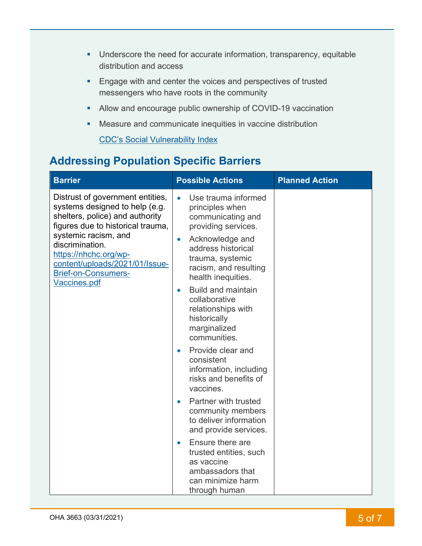- **Underscore the need for accurate information, transparency, equitable** distribution and access
- **Engage with and center the voices and perspectives of trusted** messengers who have roots in the community
- Allow and encourage public ownership of COVID-19 vaccination
- Measure and communicate inequities in vaccine distribution

[CDC's Social Vulnerability Index](https://www.atsdr.cdc.gov/placeandhealth/svi/index.html)

# **Addressing Population Specific Barriers**

| <b>Barrier</b>                                                                                                                                                                                                                                                                          | <b>Possible Actions</b>                                                                                                                                                                                                                                                                                                                                                                                                                                                                                                | <b>Planned Action</b> |
|-----------------------------------------------------------------------------------------------------------------------------------------------------------------------------------------------------------------------------------------------------------------------------------------|------------------------------------------------------------------------------------------------------------------------------------------------------------------------------------------------------------------------------------------------------------------------------------------------------------------------------------------------------------------------------------------------------------------------------------------------------------------------------------------------------------------------|-----------------------|
| Distrust of government entities,<br>systems designed to help (e.g.<br>shelters, police) and authority<br>figures due to historical trauma,<br>systemic racism, and<br>discrimination.<br>https://nhchc.org/wp-<br>content/uploads/2021/01/Issue-<br>Brief-on-Consumers-<br>Vaccines.pdf | Use trauma informed<br>$\bullet$<br>principles when<br>communicating and<br>providing services.<br>Acknowledge and<br>$\bullet$<br>address historical<br>trauma, systemic<br>racism, and resulting<br>health inequities.<br><b>Build and maintain</b><br>$\bullet$<br>collaborative<br>relationships with<br>historically<br>marginalized<br>communities.<br>Provide clear and<br>consistent<br>information, including<br>risks and benefits of<br>vaccines.<br>Partner with trusted<br>$\bullet$<br>community members |                       |
|                                                                                                                                                                                                                                                                                         | to deliver information<br>and provide services.                                                                                                                                                                                                                                                                                                                                                                                                                                                                        |                       |
|                                                                                                                                                                                                                                                                                         | Ensure there are<br>trusted entities, such<br>as vaccine<br>ambassadors that<br>can minimize harm<br>through human                                                                                                                                                                                                                                                                                                                                                                                                     |                       |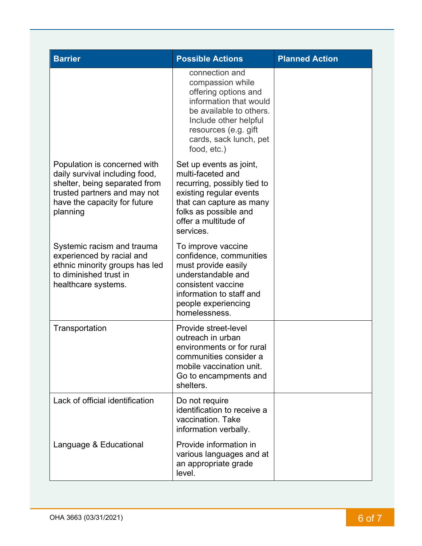| <b>Barrier</b>                                                                                                                                                              | <b>Possible Actions</b>                                                                                                                                                                                   | <b>Planned Action</b> |
|-----------------------------------------------------------------------------------------------------------------------------------------------------------------------------|-----------------------------------------------------------------------------------------------------------------------------------------------------------------------------------------------------------|-----------------------|
|                                                                                                                                                                             | connection and<br>compassion while<br>offering options and<br>information that would<br>be available to others.<br>Include other helpful<br>resources (e.g. gift<br>cards, sack lunch, pet<br>food, etc.) |                       |
| Population is concerned with<br>daily survival including food,<br>shelter, being separated from<br>trusted partners and may not<br>have the capacity for future<br>planning | Set up events as joint,<br>multi-faceted and<br>recurring, possibly tied to<br>existing regular events<br>that can capture as many<br>folks as possible and<br>offer a multitude of<br>services.          |                       |
| Systemic racism and trauma<br>experienced by racial and<br>ethnic minority groups has led<br>to diminished trust in<br>healthcare systems.                                  | To improve vaccine<br>confidence, communities<br>must provide easily<br>understandable and<br>consistent vaccine<br>information to staff and<br>people experiencing<br>homelessness.                      |                       |
| Transportation                                                                                                                                                              | Provide street-level<br>outreach in urban<br>environments or for rural<br>communities consider a<br>mobile vaccination unit.<br>Go to encampments and<br>shelters.                                        |                       |
| Lack of official identification                                                                                                                                             | Do not require<br>identification to receive a<br>vaccination. Take<br>information verbally.                                                                                                               |                       |
| Language & Educational                                                                                                                                                      | Provide information in<br>various languages and at<br>an appropriate grade<br>level.                                                                                                                      |                       |